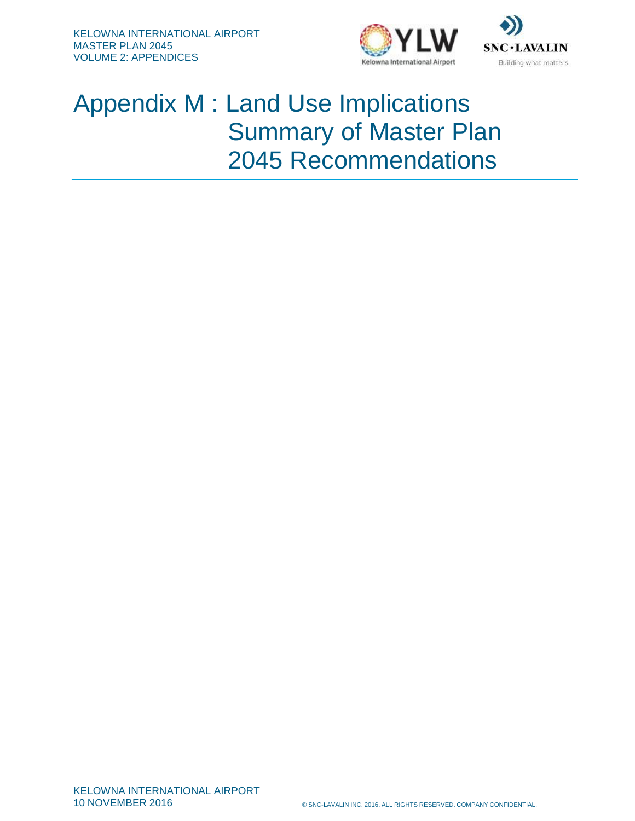



## Appendix M : Land Use Implications Summary of Master Plan 2045 Recommendations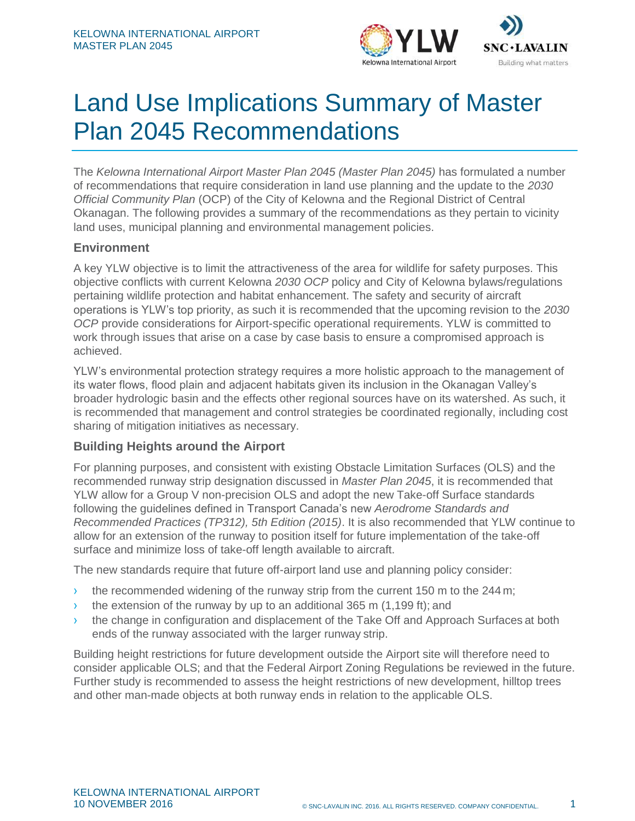



# Land Use Implications Summary of Master Plan 2045 Recommendations

The *Kelowna International Airport Master Plan 2045 (Master Plan 2045)* has formulated a number of recommendations that require consideration in land use planning and the update to the *2030 Official Community Plan* (OCP) of the City of Kelowna and the Regional District of Central Okanagan. The following provides a summary of the recommendations as they pertain to vicinity land uses, municipal planning and environmental management policies.

## **Environment**

A key YLW objective is to limit the attractiveness of the area for wildlife for safety purposes. This objective conflicts with current Kelowna *2030 OCP* policy and City of Kelowna bylaws/regulations pertaining wildlife protection and habitat enhancement. The safety and security of aircraft operations is YLW's top priority, as such it is recommended that the upcoming revision to the *2030 OCP* provide considerations for Airport-specific operational requirements. YLW is committed to work through issues that arise on a case by case basis to ensure a compromised approach is achieved.

YLW's environmental protection strategy requires a more holistic approach to the management of its water flows, flood plain and adjacent habitats given its inclusion in the Okanagan Valley's broader hydrologic basin and the effects other regional sources have on its watershed. As such, it is recommended that management and control strategies be coordinated regionally, including cost sharing of mitigation initiatives as necessary.

#### **Building Heights around the Airport**

For planning purposes, and consistent with existing Obstacle Limitation Surfaces (OLS) and the recommended runway strip designation discussed in *Master Plan 2045*, it is recommended that YLW allow for a Group V non-precision OLS and adopt the new Take-off Surface standards following the guidelines defined in Transport Canada's new *Aerodrome Standards and Recommended Practices (TP312), 5th Edition (2015)*. It is also recommended that YLW continue to allow for an extension of the runway to position itself for future implementation of the take-off surface and minimize loss of take-off length available to aircraft.

The new standards require that future off-airport land use and planning policy consider:

- $\rightarrow$  the recommended widening of the runway strip from the current 150 m to the 244 m;
- $\rightarrow$  the extension of the runway by up to an additional 365 m (1,199 ft); and
- $\rightarrow$  the change in configuration and displacement of the Take Off and Approach Surfaces at both ends of the runway associated with the larger runway strip.

Building height restrictions for future development outside the Airport site will therefore need to consider applicable OLS; and that the Federal Airport Zoning Regulations be reviewed in the future. Further study is recommended to assess the height restrictions of new development, hilltop trees and other man-made objects at both runway ends in relation to the applicable OLS.